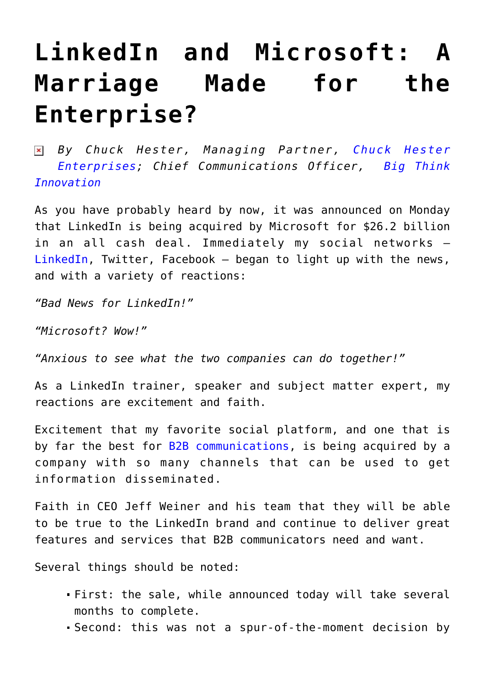## **[LinkedIn and Microsoft: A](https://www.commpro.biz/linkedin-and-microsoft-a-marriage-made-for-the-enterprise/) [Marriage Made for the](https://www.commpro.biz/linkedin-and-microsoft-a-marriage-made-for-the-enterprise/) [Enterprise?](https://www.commpro.biz/linkedin-and-microsoft-a-marriage-made-for-the-enterprise/)**

*By Chuck Hester, Managing Partner, [Chuck Hester](https://www.chuckhester.com/) [Enterprises;](https://www.chuckhester.com/) Chief Communications Officer, [Big Think](https://www.bigthinkin.com) [Innovation](https://www.bigthinkin.com)*

As you have probably heard by now, it was announced on Monday that LinkedIn is being acquired by Microsoft for \$26.2 billion in an all cash deal. Immediately my social networks – [LinkedIn](https://news.google.com/news/section?cf=all&hl=en&pz=1&ned=us&q=Microsoft%20Corporation&topicsid=FRONTPAGE&ict=ln&topicnv=__AB21PFwwflguAj06TH308P0XLmkJ-GCnGblx9PFnwL62WFvwXRQyO5t0O8IX6YzBStUwx86I6SGJRcXHnsBvY9BCt2PrYb09AtRBbG6Y3hRRVbHdjsJLwOexQWrHr7Lbf-PXvPo1eF50ENhoj17_JRKhgDPD3-7s1Z4xioVm-4GOsOGJDuy_J35kUe7n-a4khYa0GSYfOhQCJxF4BOq8gzxocYmNLDNzyc1RZvkZ7nBOU2zwc_WBdfqaF1FVxJ98kni-vSMwngSY5UrB3sQ4X8b2rR92yQB2XOMzMWnzuTV3YnX1oe1azx43yi5uh3FPmX9Rkg1U2iqKbf-OXot7PxUlYdrv36lpnid1I8wD4yoqEanlzxTk_wqxGF65Vjlk2kZVWwhz0D-rOsv_nUGzqVbljUOQ6oqcrSzbQ3BiEoeEwD1CEzFt05LiggcoUFFZ8Lj54T0Nr4CQW8j9XCvgxZAY8F_yb00xN5L3NGHaFRU5ZdtrJ807rPMCVFgzk9FAR2r2jxmHIGZr469OiQWYrnQRhYk8m04yl0fn5sxucoXQwzxfavG47UO5RuCOikvOBXjKgce1-vSaRgHrBVOp57Z9d4N4R3zcOc3SwIHTpt-XMbbqUHjmNjoTx5o6fSC0948C5CBya2v-W1tMgmVC6jsye4vbqjbLLrAec_wXDofukDFcHRSxr0OmIAUAynUs_Wz5-XYl4oVCro0EfAk4oGo13ql4aSe7K7YIH0FBwRV7RX_P7Jd9Xd95P_tealqwnDTR2n-D5mxK&siidp=9a8e8fffb8444d57c31d01091f9514795e71), Twitter, Facebook – began to light up with the news, and with a variety of reactions:

*"Bad News for LinkedIn!"*

*"Microsoft? Wow!"*

*"Anxious to see what the two companies can do together!"*

As a LinkedIn trainer, speaker and subject matter expert, my reactions are excitement and faith.

Excitement that my favorite social platform, and one that is by far the best for [B2B communications](https://www.commpro.biz/?s=b2b+communications), is being acquired by a company with so many channels that can be used to get information disseminated.

Faith in CEO Jeff Weiner and his team that they will be able to be true to the LinkedIn brand and continue to deliver great features and services that B2B communicators need and want.

Several things should be noted:

- First: the sale, while announced today will take several months to complete.
- Second: this was not a spur-of-the-moment decision by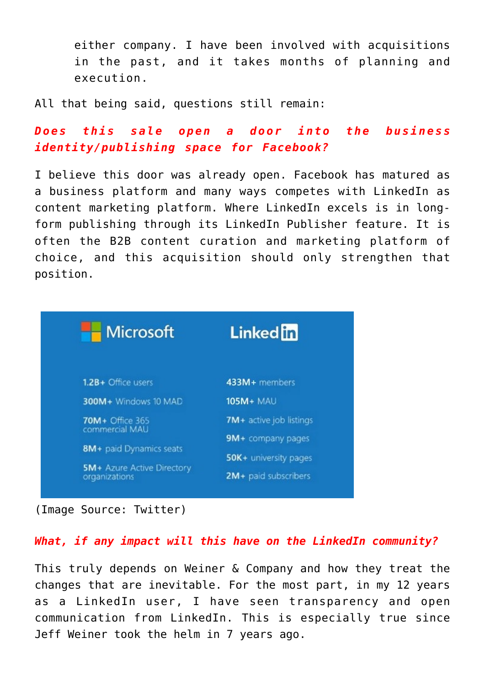either company. I have been involved with acquisitions in the past, and it takes months of planning and execution.

All that being said, questions still remain:

*Does this sale open a door into the business identity/publishing space for Facebook?*

I believe this door was already open. Facebook has matured as a business platform and many ways competes with LinkedIn as content marketing platform. Where LinkedIn excels is in longform publishing through its LinkedIn Publisher feature. It is often the B2B content curation and marketing platform of choice, and this acquisition should only strengthen that position.

| <b>Microsoft</b>                                                              | <b>Linked</b> in        |
|-------------------------------------------------------------------------------|-------------------------|
| 1.2B+ Office users                                                            | 433M+ members           |
| 300M+ Windows 10 MAD                                                          | <b>105M+ MAU</b>        |
| <b>70M</b> + Office 365<br>commercial MAU                                     | 7M+ active job listings |
| 8M+ paid Dynamics seats<br><b>5M+ Azure Active Directory</b><br>organizations | 9M+ company pages       |
|                                                                               | 50K+ university pages   |
|                                                                               | 2M+ paid subscribers    |

(Image Source: Twitter)

## *What, if any impact will this have on the LinkedIn community?*

This truly depends on Weiner & Company and how they treat the changes that are inevitable. For the most part, in my 12 years as a LinkedIn user, I have seen transparency and open communication from LinkedIn. This is especially true since Jeff Weiner took the helm in 7 years ago.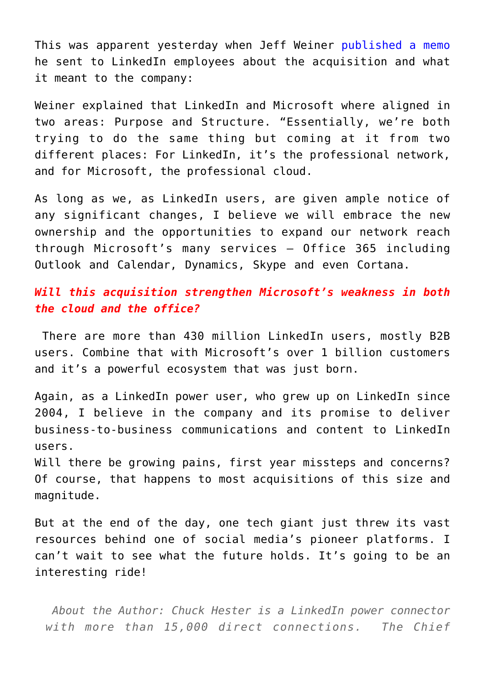This was apparent yesterday when Jeff Weiner [published a memo](https://www.linkedin.com/pulse/linkedin-microsoft-changing-way-world-works-jeff-weiner) he sent to LinkedIn employees about the acquisition and what it meant to the company:

Weiner explained that LinkedIn and Microsoft where aligned in two areas: Purpose and Structure. "Essentially, we're both trying to do the same thing but coming at it from two different places: For LinkedIn, it's the professional network, and for Microsoft, the professional cloud.

As long as we, as LinkedIn users, are given ample notice of any significant changes, I believe we will embrace the new ownership and the opportunities to expand our network reach through Microsoft's many services – Office 365 including Outlook and Calendar, Dynamics, Skype and even Cortana.

## *Will this acquisition strengthen Microsoft's weakness in both the cloud and the office?*

There are more than 430 million LinkedIn users, mostly B2B users. Combine that with Microsoft's over 1 billion customers and it's a powerful ecosystem that was just born.

Again, as a LinkedIn power user, who grew up on LinkedIn since 2004, I believe in the company and its promise to deliver business-to-business communications and content to LinkedIn users.

Will there be growing pains, first year missteps and concerns? Of course, that happens to most acquisitions of this size and magnitude.

But at the end of the day, one tech giant just threw its vast resources behind one of social media's pioneer platforms. I can't wait to see what the future holds. It's going to be an interesting ride!

*About the Author: Chuck Hester is a LinkedIn power connector with more than 15,000 direct connections. The Chief*